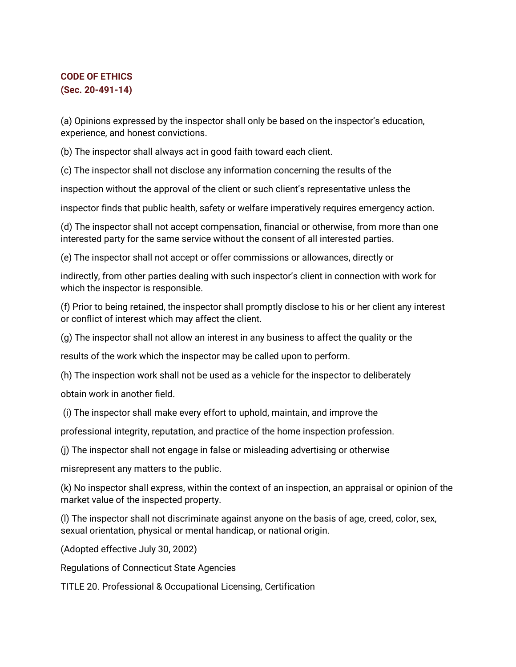## **CODE OF ETHICS (Sec. 20-491-14)**

(a) Opinions expressed by the inspector shall only be based on the inspector's education, experience, and honest convictions.

(b) The inspector shall always act in good faith toward each client.

(c) The inspector shall not disclose any information concerning the results of the

inspection without the approval of the client or such client's representative unless the

inspector finds that public health, safety or welfare imperatively requires emergency action.

(d) The inspector shall not accept compensation, financial or otherwise, from more than one interested party for the same service without the consent of all interested parties.

(e) The inspector shall not accept or offer commissions or allowances, directly or

indirectly, from other parties dealing with such inspector's client in connection with work for which the inspector is responsible.

(f) Prior to being retained, the inspector shall promptly disclose to his or her client any interest or conflict of interest which may affect the client.

(g) The inspector shall not allow an interest in any business to affect the quality or the

results of the work which the inspector may be called upon to perform.

(h) The inspection work shall not be used as a vehicle for the inspector to deliberately

obtain work in another field.

(i) The inspector shall make every effort to uphold, maintain, and improve the

professional integrity, reputation, and practice of the home inspection profession.

(j) The inspector shall not engage in false or misleading advertising or otherwise

misrepresent any matters to the public.

(k) No inspector shall express, within the context of an inspection, an appraisal or opinion of the market value of the inspected property.

(l) The inspector shall not discriminate against anyone on the basis of age, creed, color, sex, sexual orientation, physical or mental handicap, or national origin.

(Adopted effective July 30, 2002)

Regulations of Connecticut State Agencies

TITLE 20. Professional & Occupational Licensing, Certification